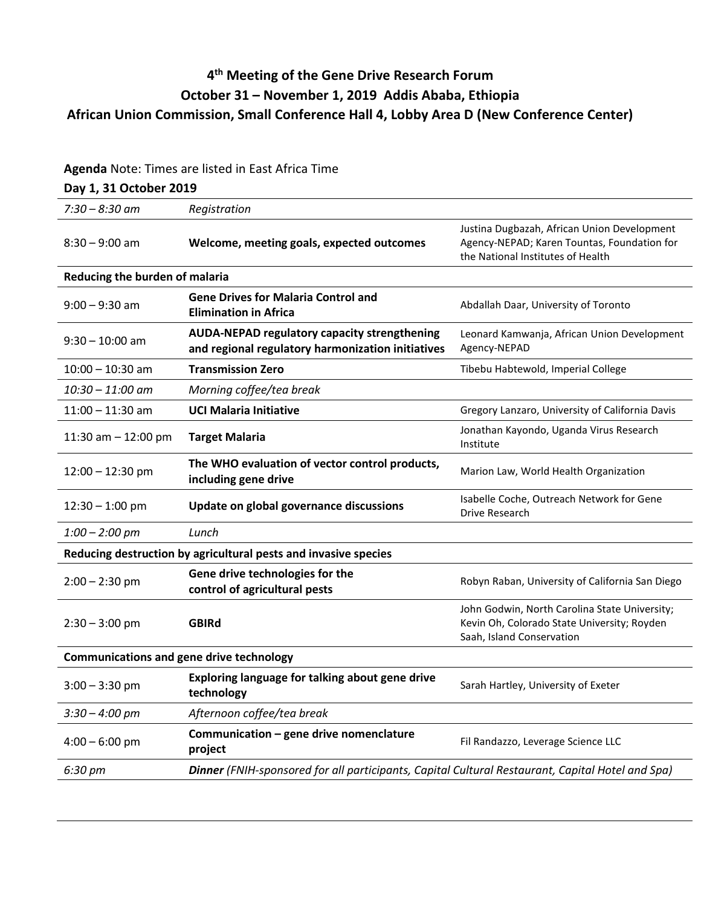## **4th Meeting of the Gene Drive Research Forum October 31 – November 1, 2019 Addis Ababa, Ethiopia African Union Commission, Small Conference Hall 4, Lobby Area D (New Conference Center)**

## **Agenda** Note: Times are listed in East Africa Time

## **Day 1, 31 October 2019**

| $7:30 - 8:30$ am                                                | Registration                                                                                             |                                                                                                                                 |  |
|-----------------------------------------------------------------|----------------------------------------------------------------------------------------------------------|---------------------------------------------------------------------------------------------------------------------------------|--|
| $8:30 - 9:00$ am                                                | Welcome, meeting goals, expected outcomes                                                                | Justina Dugbazah, African Union Development<br>Agency-NEPAD; Karen Tountas, Foundation for<br>the National Institutes of Health |  |
| Reducing the burden of malaria                                  |                                                                                                          |                                                                                                                                 |  |
| $9:00 - 9:30$ am                                                | <b>Gene Drives for Malaria Control and</b><br><b>Elimination in Africa</b>                               | Abdallah Daar, University of Toronto                                                                                            |  |
| $9:30 - 10:00$ am                                               | <b>AUDA-NEPAD regulatory capacity strengthening</b><br>and regional regulatory harmonization initiatives | Leonard Kamwanja, African Union Development<br>Agency-NEPAD                                                                     |  |
| $10:00 - 10:30$ am                                              | <b>Transmission Zero</b>                                                                                 | Tibebu Habtewold, Imperial College                                                                                              |  |
| $10:30 - 11:00$ am                                              | Morning coffee/tea break                                                                                 |                                                                                                                                 |  |
| $11:00 - 11:30$ am                                              | <b>UCI Malaria Initiative</b>                                                                            | Gregory Lanzaro, University of California Davis                                                                                 |  |
| 11:30 am $-$ 12:00 pm                                           | <b>Target Malaria</b>                                                                                    | Jonathan Kayondo, Uganda Virus Research<br>Institute                                                                            |  |
| $12:00 - 12:30$ pm                                              | The WHO evaluation of vector control products,<br>including gene drive                                   | Marion Law, World Health Organization                                                                                           |  |
| $12:30 - 1:00$ pm                                               | Update on global governance discussions                                                                  | Isabelle Coche, Outreach Network for Gene<br>Drive Research                                                                     |  |
| $1:00 - 2:00$ pm                                                | Lunch                                                                                                    |                                                                                                                                 |  |
| Reducing destruction by agricultural pests and invasive species |                                                                                                          |                                                                                                                                 |  |
| $2:00 - 2:30$ pm                                                | Gene drive technologies for the<br>control of agricultural pests                                         | Robyn Raban, University of California San Diego                                                                                 |  |
| $2:30 - 3:00$ pm                                                | <b>GBIRd</b>                                                                                             | John Godwin, North Carolina State University;<br>Kevin Oh, Colorado State University; Royden<br>Saah, Island Conservation       |  |
| <b>Communications and gene drive technology</b>                 |                                                                                                          |                                                                                                                                 |  |
| $3:00 - 3:30$ pm                                                | Exploring language for talking about gene drive<br>technology                                            | Sarah Hartley, University of Exeter                                                                                             |  |
| $3:30 - 4:00$ pm                                                | Afternoon coffee/tea break                                                                               |                                                                                                                                 |  |
| $4:00 - 6:00$ pm                                                | Communication - gene drive nomenclature<br>project                                                       | Fil Randazzo, Leverage Science LLC                                                                                              |  |
| 6:30 pm                                                         | Dinner (FNIH-sponsored for all participants, Capital Cultural Restaurant, Capital Hotel and Spa)         |                                                                                                                                 |  |
|                                                                 |                                                                                                          |                                                                                                                                 |  |